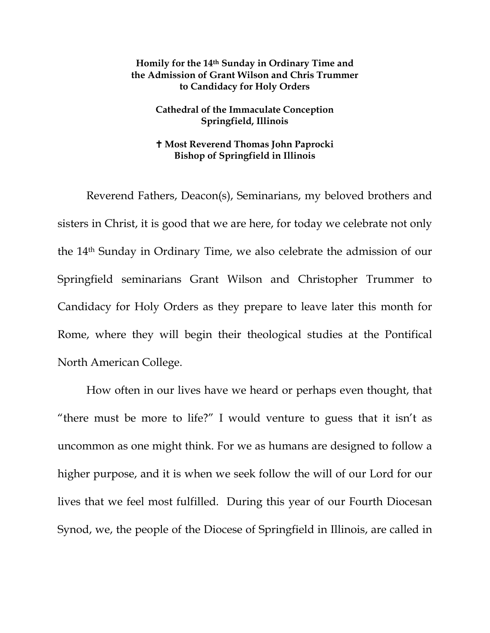## **Homily for the 14th Sunday in Ordinary Time and the Admission of Grant Wilson and Chris Trummer to Candidacy for Holy Orders**

## **Cathedral of the Immaculate Conception Springfield, Illinois**

## **Most Reverend Thomas John Paprocki Bishop of Springfield in Illinois**

Reverend Fathers, Deacon(s), Seminarians, my beloved brothers and sisters in Christ, it is good that we are here, for today we celebrate not only the 14th Sunday in Ordinary Time, we also celebrate the admission of our Springfield seminarians Grant Wilson and Christopher Trummer to Candidacy for Holy Orders as they prepare to leave later this month for Rome, where they will begin their theological studies at the Pontifical North American College.

How often in our lives have we heard or perhaps even thought, that "there must be more to life?" I would venture to guess that it isn't as uncommon as one might think. For we as humans are designed to follow a higher purpose, and it is when we seek follow the will of our Lord for our lives that we feel most fulfilled. During this year of our Fourth Diocesan Synod, we, the people of the Diocese of Springfield in Illinois, are called in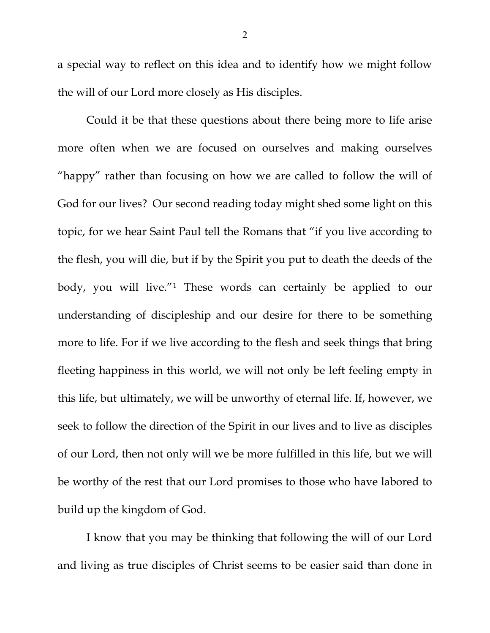a special way to reflect on this idea and to identify how we might follow the will of our Lord more closely as His disciples.

Could it be that these questions about there being more to life arise more often when we are focused on ourselves and making ourselves "happy" rather than focusing on how we are called to follow the will of God for our lives? Our second reading today might shed some light on this topic, for we hear Saint Paul tell the Romans that "if you live according to the flesh, you will die, but if by the Spirit you put to death the deeds of the body, you will live."[1](#page-4-0) These words can certainly be applied to our understanding of discipleship and our desire for there to be something more to life. For if we live according to the flesh and seek things that bring fleeting happiness in this world, we will not only be left feeling empty in this life, but ultimately, we will be unworthy of eternal life. If, however, we seek to follow the direction of the Spirit in our lives and to live as disciples of our Lord, then not only will we be more fulfilled in this life, but we will be worthy of the rest that our Lord promises to those who have labored to build up the kingdom of God.

I know that you may be thinking that following the will of our Lord and living as true disciples of Christ seems to be easier said than done in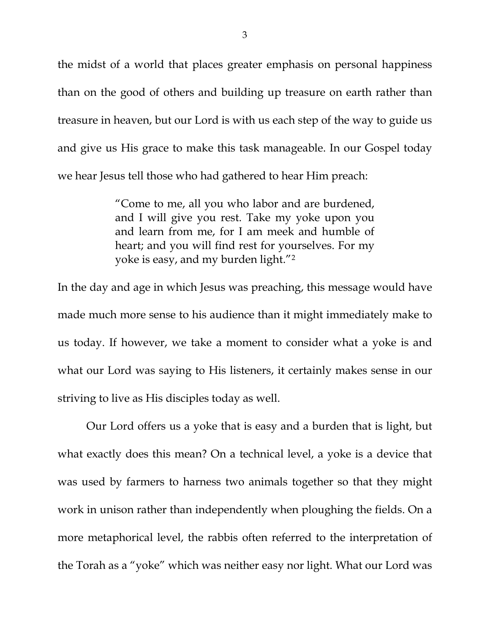the midst of a world that places greater emphasis on personal happiness than on the good of others and building up treasure on earth rather than treasure in heaven, but our Lord is with us each step of the way to guide us and give us His grace to make this task manageable. In our Gospel today we hear Jesus tell those who had gathered to hear Him preach:

> "Come to me, all you who labor and are burdened, and I will give you rest. Take my yoke upon you and learn from me, for I am meek and humble of heart; and you will find rest for yourselves. For my yoke is easy, and my burden light."[2](#page-4-1)

In the day and age in which Jesus was preaching, this message would have made much more sense to his audience than it might immediately make to us today. If however, we take a moment to consider what a yoke is and what our Lord was saying to His listeners, it certainly makes sense in our striving to live as His disciples today as well.

Our Lord offers us a yoke that is easy and a burden that is light, but what exactly does this mean? On a technical level, a yoke is a device that was used by farmers to harness two animals together so that they might work in unison rather than independently when ploughing the fields. On a more metaphorical level, the rabbis often referred to the interpretation of the Torah as a "yoke" which was neither easy nor light. What our Lord was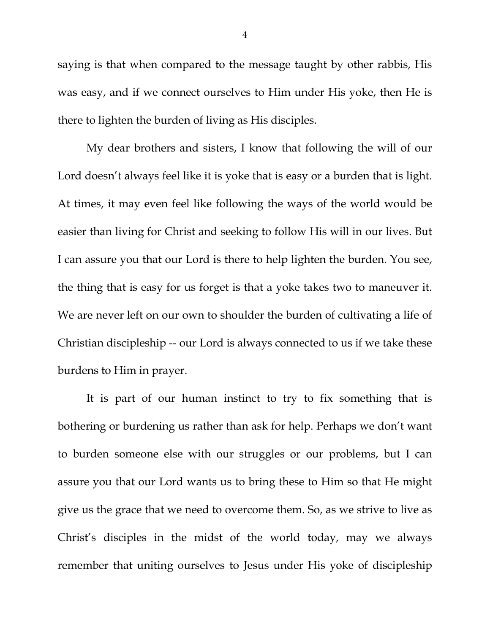saying is that when compared to the message taught by other rabbis, His was easy, and if we connect ourselves to Him under His yoke, then He is there to lighten the burden of living as His disciples.

My dear brothers and sisters, I know that following the will of our Lord doesn't always feel like it is yoke that is easy or a burden that is light. At times, it may even feel like following the ways of the world would be easier than living for Christ and seeking to follow His will in our lives. But I can assure you that our Lord is there to help lighten the burden. You see, the thing that is easy for us forget is that a yoke takes two to maneuver it. We are never left on our own to shoulder the burden of cultivating a life of Christian discipleship -- our Lord is always connected to us if we take these burdens to Him in prayer.

It is part of our human instinct to try to fix something that is bothering or burdening us rather than ask for help. Perhaps we don't want to burden someone else with our struggles or our problems, but I can assure you that our Lord wants us to bring these to Him so that He might give us the grace that we need to overcome them. So, as we strive to live as Christ's disciples in the midst of the world today, may we always remember that uniting ourselves to Jesus under His yoke of discipleship